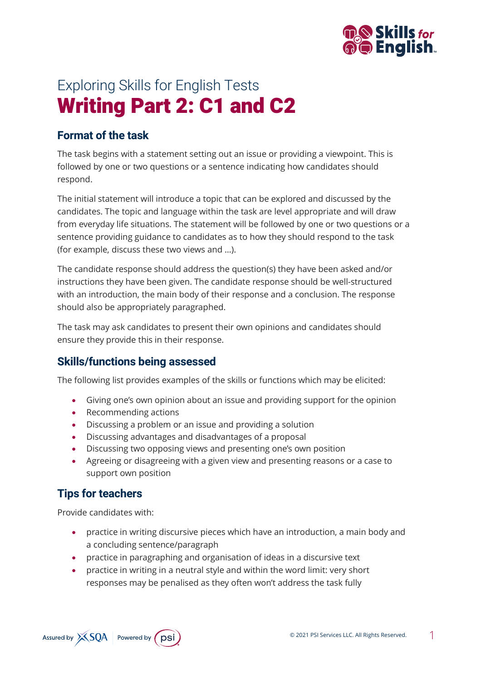

# Exploring Skills for English Tests Writing Part 2: C1 and C2

## **Format of the task**

The task begins with a statement setting out an issue or providing a viewpoint. This is followed by one or two questions or a sentence indicating how candidates should respond.

The initial statement will introduce a topic that can be explored and discussed by the candidates. The topic and language within the task are level appropriate and will draw from everyday life situations. The statement will be followed by one or two questions or a sentence providing guidance to candidates as to how they should respond to the task (for example, discuss these two views and …).

The candidate response should address the question(s) they have been asked and/or instructions they have been given. The candidate response should be well-structured with an introduction, the main body of their response and a conclusion. The response should also be appropriately paragraphed.

The task may ask candidates to present their own opinions and candidates should ensure they provide this in their response.

## **Skills/functions being assessed**

The following list provides examples of the skills or functions which may be elicited:

- Giving one's own opinion about an issue and providing support for the opinion
- Recommending actions
- Discussing a problem or an issue and providing a solution
- Discussing advantages and disadvantages of a proposal
- Discussing two opposing views and presenting one's own position
- Agreeing or disagreeing with a given view and presenting reasons or a case to support own position

## **Tips for teachers**

Provide candidates with:

- practice in writing discursive pieces which have an introduction, a main body and a concluding sentence/paragraph
- practice in paragraphing and organisation of ideas in a discursive text
- practice in writing in a neutral style and within the word limit: very short responses may be penalised as they often won't address the task fully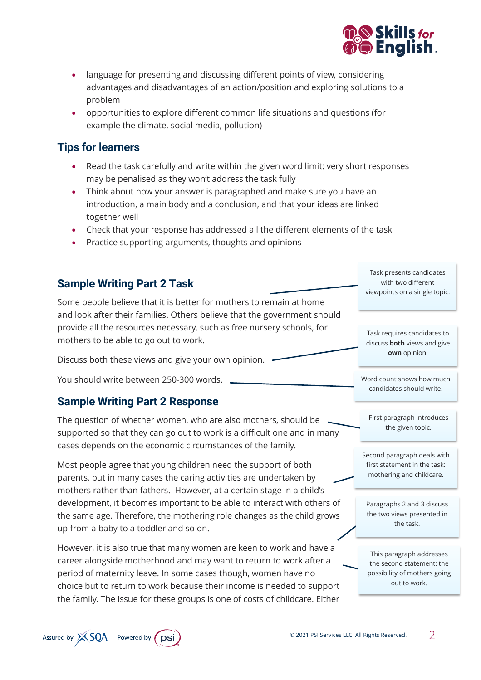

- language for presenting and discussing different points of view, considering advantages and disadvantages of an action/position and exploring solutions to a problem
- opportunities to explore different common life situations and questions (for example the climate, social media, pollution)

#### **Tips for learners**

- Read the task carefully and write within the given word limit: very short responses may be penalised as they won't address the task fully
- Think about how your answer is paragraphed and make sure you have an introduction, a main body and a conclusion, and that your ideas are linked together well
- Check that your response has addressed all the different elements of the task
- Practice supporting arguments, thoughts and opinions

#### **Sample Writing Part 2 Task**

Some people believe that it is better for mothers to remain at home and look after their families. Others believe that the government should provide all the resources necessary, such as free nursery schools, for mothers to be able to go out to work.

Discuss both these views and give your own opinion.

You should write between 250-300 words.

#### **Sample Writing Part 2 Response**

The question of whether women, who are also mothers, should be supported so that they can go out to work is a difficult one and in many cases depends on the economic circumstances of the family.

Most people agree that young children need the support of both parents, but in many cases the caring activities are undertaken by mothers rather than fathers. However, at a certain stage in a child's development, it becomes important to be able to interact with others of the same age. Therefore, the mothering role changes as the child grows up from a baby to a toddler and so on.

However, it is also true that many women are keen to work and have a career alongside motherhood and may want to return to work after a period of maternity leave. In some cases though, women have no choice but to return to work because their income is needed to support the family. The issue for these groups is one of costs of childcare. Either

Task presents candidates with two different viewpoints on a single topic.

Task requires candidates to discuss **both** views and give **own** opinion.

Word count shows how much candidates should write.

First paragraph introduces the given topic.

Second paragraph deals with first statement in the task: mothering and childcare.

Paragraphs 2 and 3 discuss the two views presented in the task.

This paragraph addresses the second statement: the possibility of mothers going out to work.